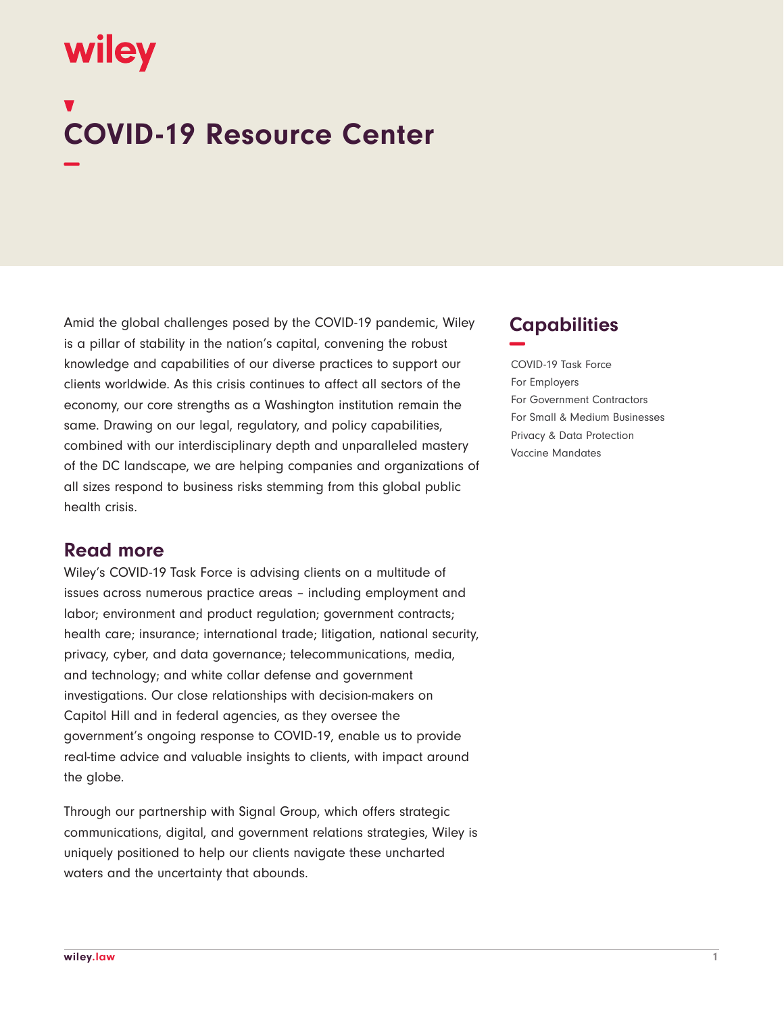# wiley

## **COVID-19 Resource Center −**

Amid the global challenges posed by the COVID-19 pandemic, Wiley is a pillar of stability in the nation's capital, convening the robust knowledge and capabilities of our diverse practices to support our clients worldwide. As this crisis continues to affect all sectors of the economy, our core strengths as a Washington institution remain the same. Drawing on our legal, regulatory, and policy capabilities, combined with our interdisciplinary depth and unparalleled mastery of the DC landscape, we are helping companies and organizations of all sizes respond to business risks stemming from this global public health crisis.

#### **Read more**

Wiley's COVID-19 Task Force is advising clients on a multitude of issues across numerous practice areas – including employment and labor; environment and product regulation; government contracts; health care; insurance; international trade; litigation, national security, privacy, cyber, and data governance; telecommunications, media, and technology; and white collar defense and government investigations. Our close relationships with decision-makers on Capitol Hill and in federal agencies, as they oversee the government's ongoing response to COVID-19, enable us to provide real-time advice and valuable insights to clients, with impact around the globe.

Through our partnership with Signal Group, which offers strategic communications, digital, and government relations strategies, Wiley is uniquely positioned to help our clients navigate these uncharted waters and the uncertainty that abounds.

#### **Capabilities −-**

COVID-19 Task Force For Employers For Government Contractors For Small & Medium Businesses Privacy & Data Protection Vaccine Mandates